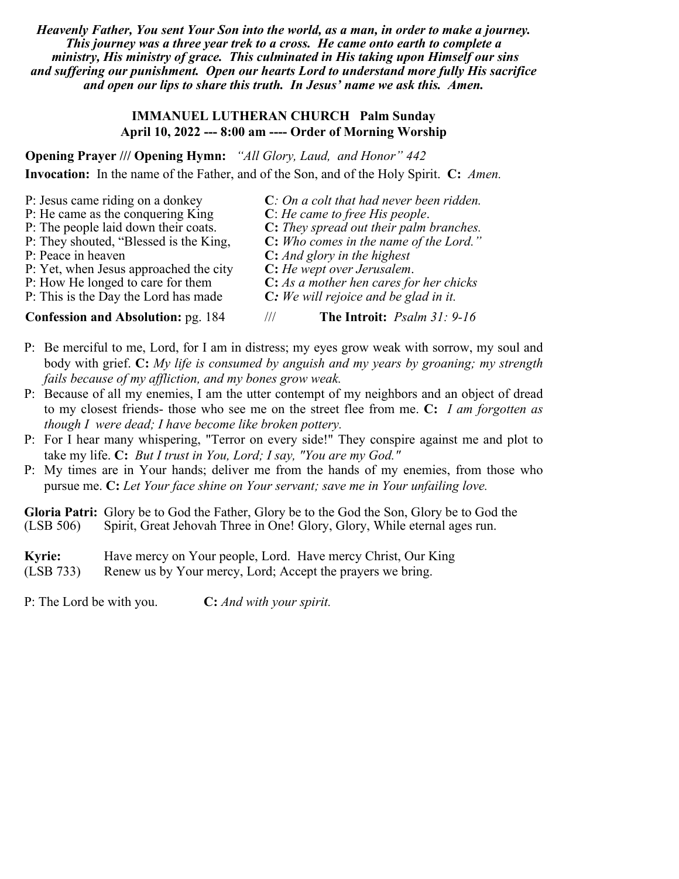*Heavenly Father, You sent Your Son into the world, as a man, in order to make a journey. This journey was a three year trek to a cross. He came onto earth to complete a ministry, His ministry of grace. This culminated in His taking upon Himself our sins and suffering our punishment. Open our hearts Lord to understand more fully His sacrifice and open our lips to share this truth. In Jesus' name we ask this. Amen.*

### **IMMANUEL LUTHERAN CHURCH Palm Sunday April 10, 2022 --- 8:00 am ---- Order of Morning Worship**

**Opening Prayer /// Opening Hymn:** *"All Glory, Laud, and Honor" 442* **Invocation:** In the name of the Father, and of the Son, and of the Holy Spirit. **C:** *Amen.*

| P: Jesus came riding on a donkey          | $C: On a colt that had never been ridden.$ |
|-------------------------------------------|--------------------------------------------|
| P: He came as the conquering King         | $C$ : He came to free His people.          |
| P: The people laid down their coats.      | C: They spread out their palm branches.    |
| P: They shouted, "Blessed is the King,"   | C: Who comes in the name of the Lord."     |
| P: Peace in heaven                        | <b>C:</b> And glory in the highest         |
| P: Yet, when Jesus approached the city    | C: He wept over Jerusalem.                 |
| P: How He longed to care for them         | C: As a mother hen cares for her chicks    |
| P: This is the Day the Lord has made      | $C:$ We will rejoice and be glad in it.    |
| <b>Confession and Absolution: pg. 184</b> | The Introit: <i>Psalm 31: 9-16</i><br>III  |

- P: Be merciful to me, Lord, for I am in distress; my eyes grow weak with sorrow, my soul and body with grief. **C:** *My life is consumed by anguish and my years by groaning; my strength fails because of my affliction, and my bones grow weak.*
- P: Because of all my enemies, I am the utter contempt of my neighbors and an object of dread to my closest friends- those who see me on the street flee from me. **C:** *I am forgotten as though I were dead; I have become like broken pottery.*
- P: For I hear many whispering, "Terror on every side!" They conspire against me and plot to take my life. **C:** *But I trust in You, Lord; I say, "You are my God."*
- P: My times are in Your hands; deliver me from the hands of my enemies, from those who pursue me. **C:** *Let Your face shine on Your servant; save me in Your unfailing love.*

**Gloria Patri:** Glory be to God the Father, Glory be to the God the Son, Glory be to God the (LSB 506) Spirit, Great Jehovah Three in One! Glory, Glory, While eternal ages run.

| <b>Kyrie:</b> | Have mercy on Your people, Lord. Have mercy Christ, Our King |
|---------------|--------------------------------------------------------------|
| (LSB 733)     | Renew us by Your mercy, Lord; Accept the prayers we bring.   |

P: The Lord be with you. **C:** *And with your spirit.*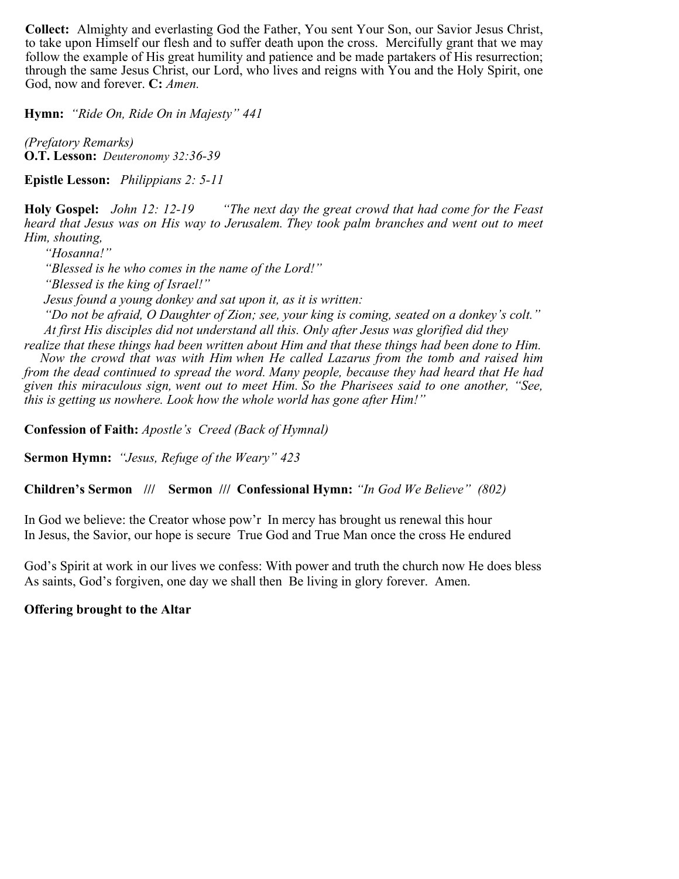**Collect:** Almighty and everlasting God the Father, You sent Your Son, our Savior Jesus Christ, to take upon Himself our flesh and to suffer death upon the cross. Mercifully grant that we may follow the example of His great humility and patience and be made partakers of His resurrection; through the same Jesus Christ, our Lord, who lives and reigns with You and the Holy Spirit, one God, now and forever. **C:** *Amen.*

**Hymn:** *"Ride On, Ride On in Majesty" 441*

*(Prefatory Remarks)* **O.T. Lesson:** *Deuteronomy 32:36-39* 

**Epistle Lesson:** *Philippians 2: 5-11*

**Holy Gospel:** *John 12: 12-19 "The next day the great crowd that had come for the Feast heard that Jesus was on His way to Jerusalem. They took palm branches and went out to meet Him, shouting,*

*"Hosanna!"*

*"Blessed is he who comes in the name of the Lord!"*

*"Blessed is the king of Israel!"*

*Jesus found a young donkey and sat upon it, as it is written:*

*this is getting us nowhere. Look how the whole world has gone after Him!"*

*"Do not be afraid, O Daughter of Zion; see, your king is coming, seated on a donkey's colt." At first His disciples did not understand all this. Only after Jesus was glorified did they* 

*realize that these things had been written about Him and that these things had been done to Him. Now the crowd that was with Him when He called Lazarus from the tomb and raised him from the dead continued to spread the word. Many people, because they had heard that He had given this miraculous sign, went out to meet Him. So the Pharisees said to one another, "See,* 

**Confession of Faith:** *Apostle's Creed (Back of Hymnal)*

**Sermon Hymn:** *"Jesus, Refuge of the Weary" 423*

**Children's Sermon /// Sermon /// Confessional Hymn:** *"In God We Believe" (802)*

In God we believe: the Creator whose pow'r In mercy has brought us renewal this hour In Jesus, the Savior, our hope is secure True God and True Man once the cross He endured

God's Spirit at work in our lives we confess: With power and truth the church now He does bless As saints, God's forgiven, one day we shall then Be living in glory forever. Amen.

**Offering brought to the Altar**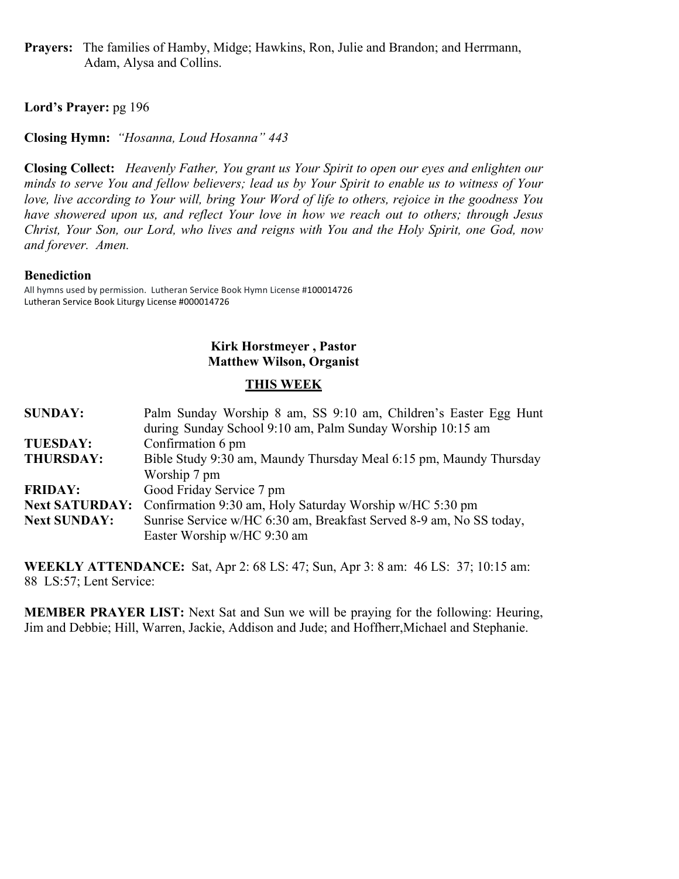**Prayers:** The families of Hamby, Midge; Hawkins, Ron, Julie and Brandon; and Herrmann, Adam, Alysa and Collins.

## **Lord's Prayer:** pg 196

**Closing Hymn:** *"Hosanna, Loud Hosanna" 443*

**Closing Collect:** *Heavenly Father, You grant us Your Spirit to open our eyes and enlighten our minds to serve You and fellow believers; lead us by Your Spirit to enable us to witness of Your love, live according to Your will, bring Your Word of life to others, rejoice in the goodness You have showered upon us, and reflect Your love in how we reach out to others; through Jesus Christ, Your Son, our Lord, who lives and reigns with You and the Holy Spirit, one God, now and forever. Amen.*

#### **Benediction**

All hymns used by permission. Lutheran Service Book Hymn License #100014726 Lutheran Service Book Liturgy License #000014726

### **Kirk Horstmeyer , Pastor Matthew Wilson, Organist**

### **THIS WEEK**

| <b>SUNDAY:</b>        | Palm Sunday Worship 8 am, SS 9:10 am, Children's Easter Egg Hunt    |
|-----------------------|---------------------------------------------------------------------|
|                       | during Sunday School 9:10 am, Palm Sunday Worship 10:15 am          |
| <b>TUESDAY:</b>       | Confirmation 6 pm                                                   |
| <b>THURSDAY:</b>      | Bible Study 9:30 am, Maundy Thursday Meal 6:15 pm, Maundy Thursday  |
|                       | Worship 7 pm                                                        |
| <b>FRIDAY:</b>        | Good Friday Service 7 pm                                            |
| <b>Next SATURDAY:</b> | Confirmation 9:30 am, Holy Saturday Worship w/HC 5:30 pm            |
| <b>Next SUNDAY:</b>   | Sunrise Service w/HC 6:30 am, Breakfast Served 8-9 am, No SS today, |
|                       | Easter Worship w/HC 9:30 am                                         |

**WEEKLY ATTENDANCE:** Sat, Apr 2: 68 LS: 47; Sun, Apr 3: 8 am: 46 LS: 37; 10:15 am: 88 LS:57; Lent Service:

**MEMBER PRAYER LIST:** Next Sat and Sun we will be praying for the following: Heuring, Jim and Debbie; Hill, Warren, Jackie, Addison and Jude; and Hoffherr,Michael and Stephanie.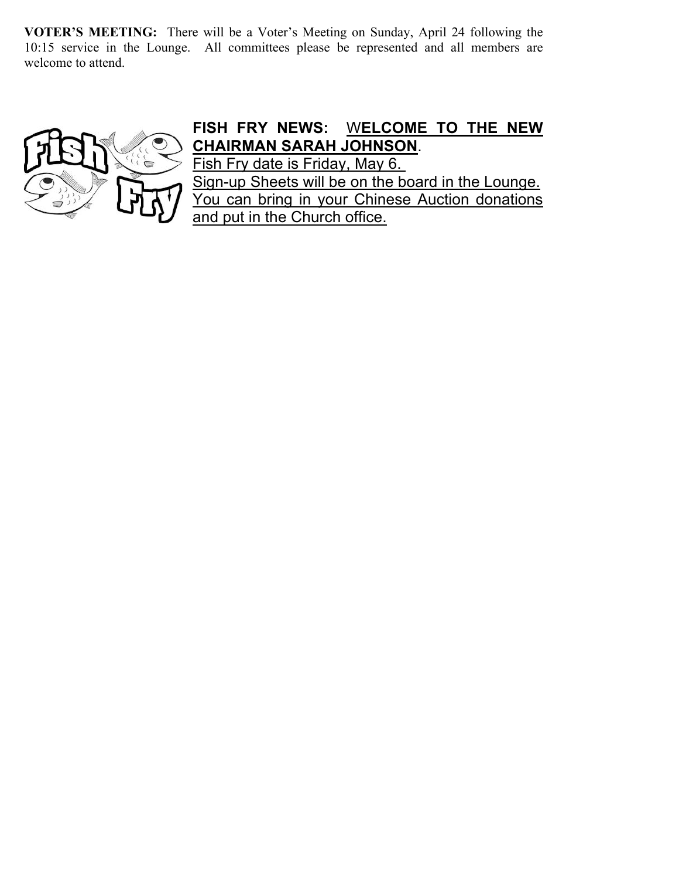**VOTER'S MEETING:** There will be a Voter's Meeting on Sunday, April 24 following the 10:15 service in the Lounge. All committees please be represented and all members are welcome to attend.



# **FISH FRY NEWS:** W**ELCOME TO THE NEW CHAIRMAN SARAH JOHNSON**.

Fish Fry date is Friday, May 6. Sign-up Sheets will be on the board in the Lounge. You can bring in your Chinese Auction donations and put in the Church office.